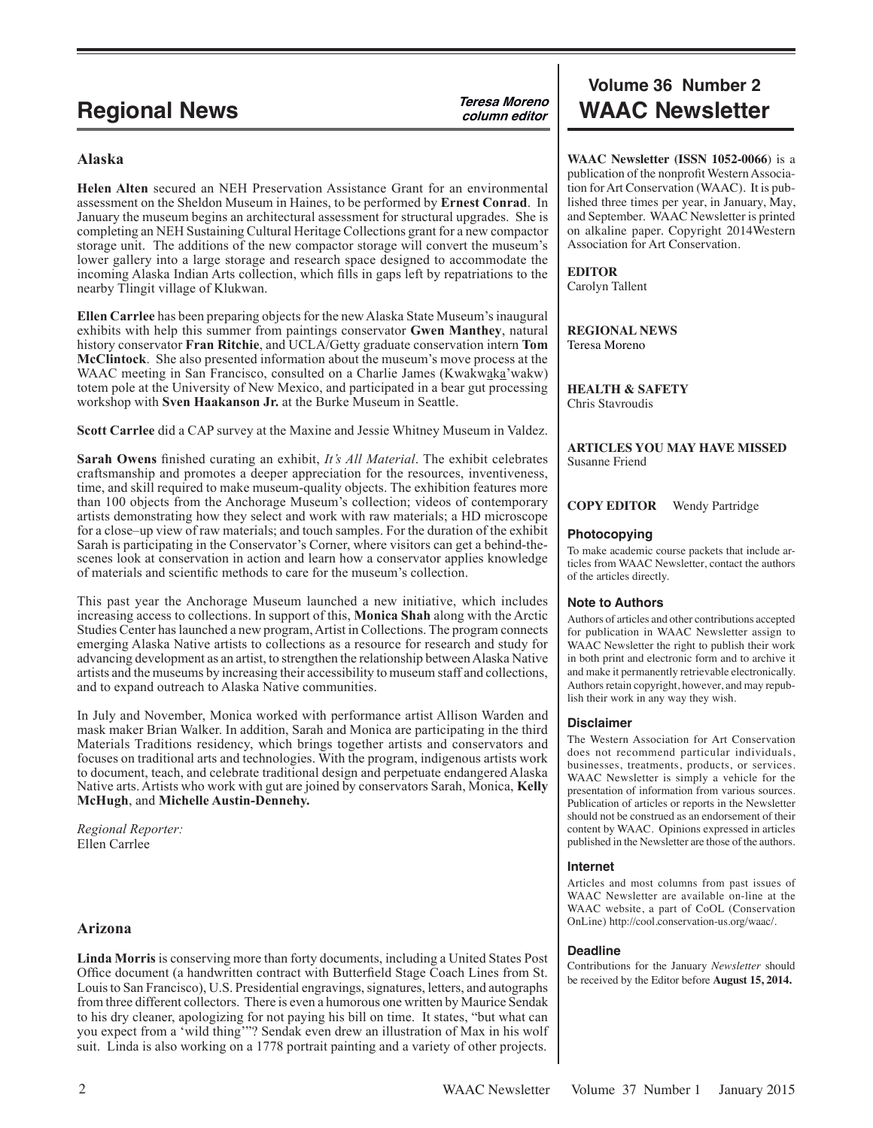## **Alaska**

**Helen Alten** secured an NEH Preservation Assistance Grant for an environmental assessment on the Sheldon Museum in Haines, to be performed by **Ernest Conrad**. In January the museum begins an architectural assessment for structural upgrades. She is completing an NEH Sustaining Cultural Heritage Collections grant for a new compactor storage unit. The additions of the new compactor storage will convert the museum's lower gallery into a large storage and research space designed to accommodate the incoming Alaska Indian Arts collection, which fills in gaps left by repatriations to the nearby Tlingit village of Klukwan.

**Ellen Carrlee** has been preparing objects for the new Alaska State Museum's inaugural exhibits with help this summer from paintings conservator **Gwen Manthey**, natural history conservator **Fran Ritchie**, and UCLA/Getty graduate conservation intern **Tom McClintock**. She also presented information about the museum's move process at the WAAC meeting in San Francisco, consulted on a Charlie James (Kwakwaka'wakw) totem pole at the University of New Mexico, and participated in a bear gut processing workshop with **Sven Haakanson Jr.** at the Burke Museum in Seattle.

**Scott Carrlee** did a CAP survey at the Maxine and Jessie Whitney Museum in Valdez.

**Sarah Owens** finished curating an exhibit, *It's All Material*. The exhibit celebrates craftsmanship and promotes a deeper appreciation for the resources, inventiveness, time, and skill required to make museum-quality objects. The exhibition features more than 100 objects from the Anchorage Museum's collection; videos of contemporary artists demonstrating how they select and work with raw materials; a HD microscope for a close–up view of raw materials; and touch samples. For the duration of the exhibit Sarah is participating in the Conservator's Corner, where visitors can get a behind-thescenes look at conservation in action and learn how a conservator applies knowledge of materials and scientific methods to care for the museum's collection.

This past year the Anchorage Museum launched a new initiative, which includes increasing access to collections. In support of this, **Monica Shah** along with the Arctic Studies Center has launched a new program, Artist in Collections. The program connects emerging Alaska Native artists to collections as a resource for research and study for advancing development as an artist, to strengthen the relationship between Alaska Native artists and the museums by increasing their accessibility to museum staff and collections, and to expand outreach to Alaska Native communities.

In July and November, Monica worked with performance artist Allison Warden and mask maker Brian Walker. In addition, Sarah and Monica are participating in the third Materials Traditions residency, which brings together artists and conservators and focuses on traditional arts and technologies. With the program, indigenous artists work to document, teach, and celebrate traditional design and perpetuate endangered Alaska Native arts. Artists who work with gut are joined by conservators Sarah, Monica, **Kelly McHugh**, and **Michelle Austin-Dennehy.**

*Regional Reporter:* Ellen Carrlee

## **Arizona**

**Linda Morris** is conserving more than forty documents, including a United States Post Office document (a handwritten contract with Butterfield Stage Coach Lines from St. Louis to San Francisco), U.S. Presidential engravings, signatures, letters, and autographs from three different collectors. There is even a humorous one written by Maurice Sendak to his dry cleaner, apologizing for not paying his bill on time. It states, "but what can you expect from a 'wild thing'"? Sendak even drew an illustration of Max in his wolf suit. Linda is also working on a 1778 portrait painting and a variety of other projects.

# **Volume 36 Number 2 Regional News Calculate Terms** *Column editor* **WAAC Newsletter**

**WAAC Newsletter (ISSN 1052-0066**) is a publication of the nonprofit Western Association for Art Conservation (WAAC). It is published three times per year, in January, May, and September. WAAC Newsletter is printed on alkaline paper. Copyright 2014Western Association for Art Conservation.

**EDITOR**

Carolyn Tallent

**REGIONAL NEWS** Teresa Moreno

**HEALTH & SAFETY** Chris Stavroudis

**ARTICLES YOU MAY HAVE MISSED** Susanne Friend

## **COPY EDITOR** Wendy Partridge

## **Photocopying**

To make academic course packets that include articles from WAAC Newsletter, contact the authors of the articles directly.

## **Note to Authors**

Authors of articles and other contributions accepted for publication in WAAC Newsletter assign to WAAC Newsletter the right to publish their work in both print and electronic form and to archive it and make it permanently retrievable electronically. Authors retain copyright, however, and may republish their work in any way they wish.

## **Disclaimer**

The Western Association for Art Conservation does not recommend particular individuals, businesses, treatments, products, or services. WAAC Newsletter is simply a vehicle for the presentation of information from various sources. Publication of articles or reports in the Newsletter should not be construed as an endorsement of their content by WAAC. Opinions expressed in articles published in the Newsletter are those of the authors.

## **Internet**

Articles and most columns from past issues of WAAC Newsletter are available on-line at the WAAC website, a part of CoOL (Conservation OnLine) http://cool.conservation-us.org/waac/.

## **Deadline**

Contributions for the January *Newsletter* should be received by the Editor before **August 15, 2014.**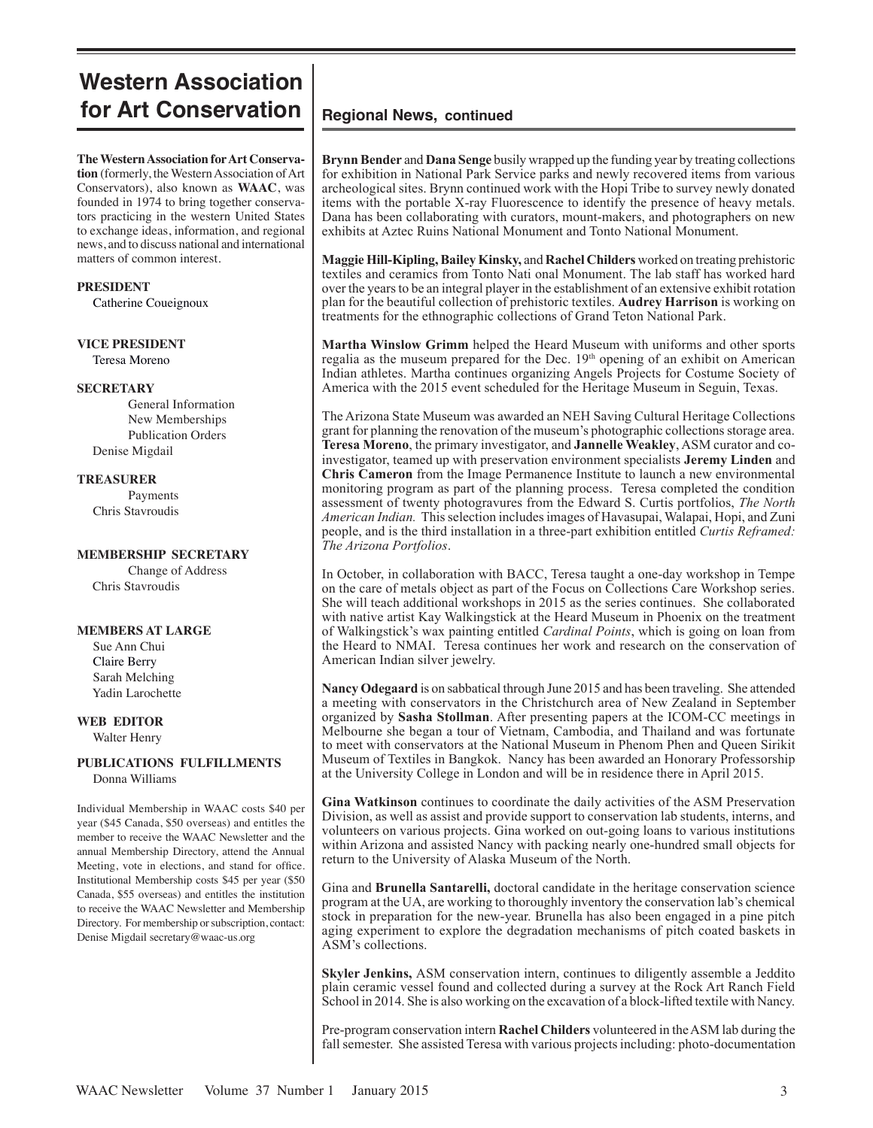# **Western Association for Art Conservation** | Regional News, continued

**The Western Association for Art Conservation** (formerly, the Western Association of Art Conservators), also known as **WAAC**, was founded in 1974 to bring together conservators practicing in the western United States to exchange ideas, information, and regional news, and to discuss national and international matters of common interest.

## **PRESIDENT**

Catherine Coueignoux

**VICE PRESIDENT**

Teresa Moreno

## **SECRETARY**

General Information New Memberships Publication Orders Denise Migdail

## **TREASURER**

Payments Chris Stavroudis

## **MEMBERSHIP SECRETARY**

Change of Address Chris Stavroudis

## **MEMBERS AT LARGE**

 Sue Ann Chui Claire Berry Sarah Melching Yadin Larochette

## **WEB EDITOR**

Walter Henry

## **PUBLICATIONS FULFILLMENTS** Donna Williams

Individual Membership in WAAC costs \$40 per year (\$45 Canada, \$50 overseas) and entitles the member to receive the WAAC Newsletter and the annual Membership Directory, attend the Annual Meeting, vote in elections, and stand for office. Institutional Membership costs \$45 per year (\$50 Canada, \$55 overseas) and entitles the institution to receive the WAAC Newsletter and Membership Directory. For membership or subscription, contact: Denise Migdail secretary@waac-us.org

**Brynn Bender** and **Dana Senge** busily wrapped up the funding year by treating collections for exhibition in National Park Service parks and newly recovered items from various archeological sites. Brynn continued work with the Hopi Tribe to survey newly donated items with the portable X-ray Fluorescence to identify the presence of heavy metals. Dana has been collaborating with curators, mount-makers, and photographers on new exhibits at Aztec Ruins National Monument and Tonto National Monument.

**Maggie Hill-Kipling, Bailey Kinsky,** and **Rachel Childers** worked on treating prehistoric textiles and ceramics from Tonto Nati onal Monument. The lab staff has worked hard over the years to be an integral player in the establishment of an extensive exhibit rotation plan for the beautiful collection of prehistoric textiles. **Audrey Harrison** is working on treatments for the ethnographic collections of Grand Teton National Park.

**Martha Winslow Grimm** helped the Heard Museum with uniforms and other sports regalia as the museum prepared for the Dec. 19<sup>th</sup> opening of an exhibit on American Indian athletes. Martha continues organizing Angels Projects for Costume Society of America with the 2015 event scheduled for the Heritage Museum in Seguin, Texas.

The Arizona State Museum was awarded an NEH Saving Cultural Heritage Collections grant for planning the renovation of the museum's photographic collections storage area. **Teresa Moreno**, the primary investigator, and **Jannelle Weakley**, ASM curator and coinvestigator, teamed up with preservation environment specialists **Jeremy Linden** and **Chris Cameron** from the Image Permanence Institute to launch a new environmental monitoring program as part of the planning process. Teresa completed the condition assessment of twenty photogravures from the Edward S. Curtis portfolios, *The North American Indian.* This selection includes images of Havasupai, Walapai, Hopi, and Zuni people, and is the third installation in a three-part exhibition entitled *Curtis Reframed: The Arizona Portfolios*.

In October, in collaboration with BACC, Teresa taught a one-day workshop in Tempe on the care of metals object as part of the Focus on Collections Care Workshop series. She will teach additional workshops in 2015 as the series continues. She collaborated with native artist Kay Walkingstick at the Heard Museum in Phoenix on the treatment of Walkingstick's wax painting entitled *Cardinal Points*, which is going on loan from the Heard to NMAI. Teresa continues her work and research on the conservation of American Indian silver jewelry.

**Nancy Odegaard** is on sabbatical through June 2015 and has been traveling. She attended a meeting with conservators in the Christchurch area of New Zealand in September organized by **Sasha Stollman**. After presenting papers at the ICOM-CC meetings in Melbourne she began a tour of Vietnam, Cambodia, and Thailand and was fortunate to meet with conservators at the National Museum in Phenom Phen and Queen Sirikit Museum of Textiles in Bangkok. Nancy has been awarded an Honorary Professorship at the University College in London and will be in residence there in April 2015.

**Gina Watkinson** continues to coordinate the daily activities of the ASM Preservation Division, as well as assist and provide support to conservation lab students, interns, and volunteers on various projects. Gina worked on out-going loans to various institutions within Arizona and assisted Nancy with packing nearly one-hundred small objects for return to the University of Alaska Museum of the North.

Gina and **Brunella Santarelli,** doctoral candidate in the heritage conservation science program at the UA, are working to thoroughly inventory the conservation lab's chemical stock in preparation for the new-year. Brunella has also been engaged in a pine pitch aging experiment to explore the degradation mechanisms of pitch coated baskets in ASM's collections.

**Skyler Jenkins,** ASM conservation intern, continues to diligently assemble a Jeddito plain ceramic vessel found and collected during a survey at the Rock Art Ranch Field School in 2014. She is also working on the excavation of a block-lifted textile with Nancy.

Pre-program conservation intern **Rachel Childers** volunteered in the ASM lab during the fall semester. She assisted Teresa with various projects including: photo-documentation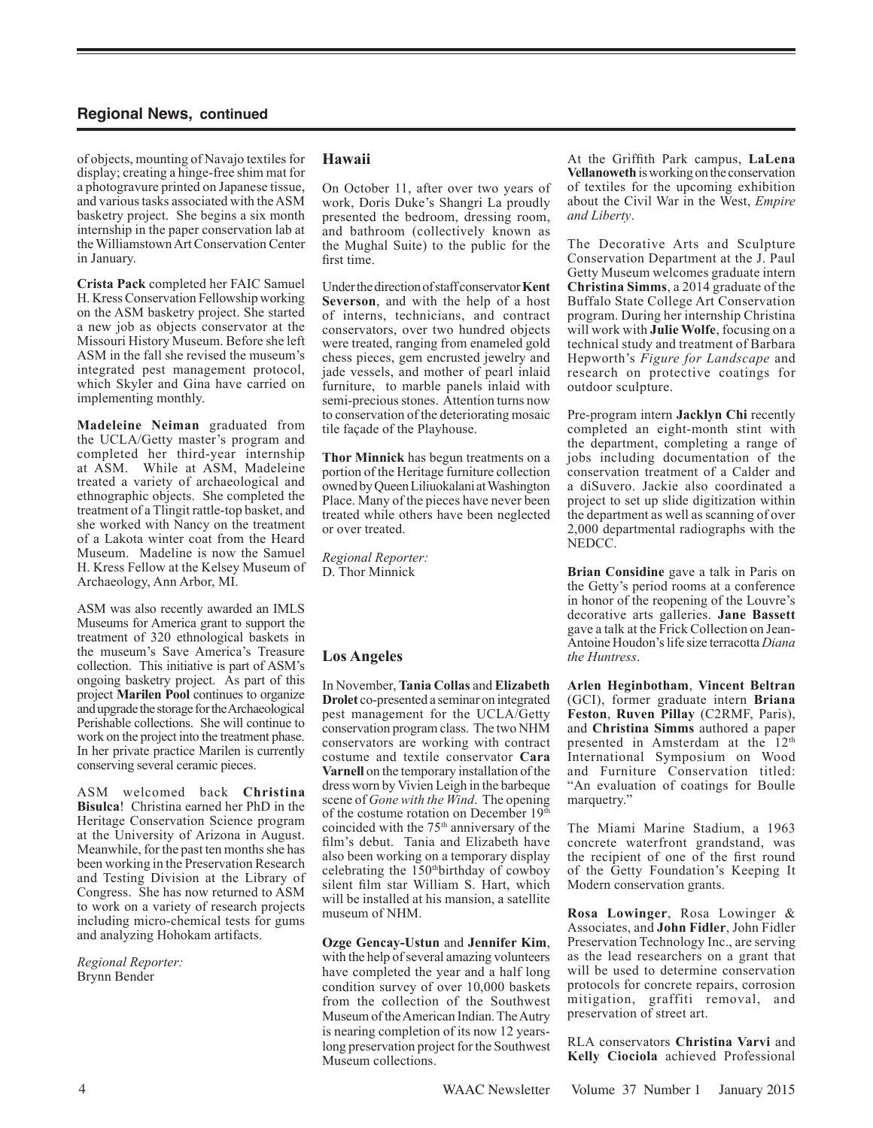of objects, mounting of Navajo textiles for display; creating a hinge-free shim mat for a photogravure printed on Japanese tissue, and various tasks associated with the ASM basketry project. She begins a six month internship in the paper conservation lab at the Williamstown Art Conservation Center in January.

**Crista Pack** completed her FAIC Samuel H. Kress Conservation Fellowship working on the ASM basketry project. She started a new job as objects conservator at the Missouri History Museum. Before she left ASM in the fall she revised the museum's integrated pest management protocol, which Skyler and Gina have carried on implementing monthly.

**Madeleine Neiman** graduated from the UCLA/Getty master's program and completed her third-year internship at ASM. While at ASM, Madeleine treated a variety of archaeological and ethnographic objects. She completed the treatment of a Tlingit rattle-top basket, and she worked with Nancy on the treatment of a Lakota winter coat from the Heard Museum. Madeline is now the Samuel H. Kress Fellow at the Kelsey Museum of Archaeology, Ann Arbor, MI.

ASM was also recently awarded an IMLS Museums for America grant to support the treatment of 320 ethnological baskets in the museum's Save America's Treasure collection. This initiative is part of ASM's ongoing basketry project. As part of this project **Marilen Pool** continues to organize and upgrade the storage for the Archaeological Perishable collections. She will continue to work on the project into the treatment phase. In her private practice Marilen is currently conserving several ceramic pieces.

ASM welcomed back **Christina Bisulca**! Christina earned her PhD in the Heritage Conservation Science program at the University of Arizona in August. Meanwhile, for the past ten months she has been working in the Preservation Research and Testing Division at the Library of Congress. She has now returned to ASM to work on a variety of research projects including micro-chemical tests for gums and analyzing Hohokam artifacts.

*Regional Reporter:* Brynn Bender

## **Hawaii**

On October 11, after over two years of work, Doris Duke's Shangri La proudly presented the bedroom, dressing room, and bathroom (collectively known as the Mughal Suite) to the public for the first time.

Under the direction of staffconservator**Kent Severson**, and with the help of a host of interns, technicians, and contract conservators, over two hundred objects were treated, ranging from enameled gold chess pieces, gem encrusted jewelry and jade vessels, and mother of pearl inlaid furniture, to marble panels inlaid with semi-precious stones. Attention turns now to conservation of the deteriorating mosaic tile façade of the Playhouse.

**Thor Minnick** has begun treatments on a portion of the Heritage furniture collection owned by Queen Liliuokalani at Washington Place. Many of the pieces have never been treated while others have been neglected or over treated.

*Regional Reporter:* D. Thor Minnick

## **Los Angeles**

In November, **Tania Collas** and **Elizabeth Drolet** co-presented a seminar on integrated pest management for the UCLA/Getty conservation program class. The two NHM conservators are working with contract costume and textile conservator **Cara Varnell** on the temporary installation of the dress worn by Vivien Leigh in the barbeque scene of *Gone with the Wind*. The opening of the costume rotation on December 19th coincided with the 75<sup>th</sup> anniversary of the film's debut. Tania and Elizabeth have also been working on a temporary display celebrating the 150thbirthday of cowboy silent film star William S. Hart, which will be installed at his mansion, a satellite museum of NHM.

**Ozge Gencay-Ustun** and **Jennifer Kim**, with the help of several amazing volunteers have completed the year and a half long condition survey of over 10,000 baskets from the collection of the Southwest Museum of the American Indian. The Autry is nearing completion of its now 12 yearslong preservation project for the Southwest Museum collections.

At the Griffith Park campus, **LaLena Vellanoweth** is working on the conservation of textiles for the upcoming exhibition about the Civil War in the West, *Empire and Liberty*.

The Decorative Arts and Sculpture Conservation Department at the J. Paul Getty Museum welcomes graduate intern **Christina Simms**, a 2014 graduate of the Buffalo State College Art Conservation program. During her internship Christina will work with **Julie Wolfe**, focusing on a technical study and treatment of Barbara Hepworth's *Figure for Landscape* and research on protective coatings for outdoor sculpture.

Pre-program intern **Jacklyn Chi** recently completed an eight-month stint with the department, completing a range of jobs including documentation of the conservation treatment of a Calder and a diSuvero. Jackie also coordinated a project to set up slide digitization within the department as well as scanning of over 2,000 departmental radiographs with the NEDCC.

**Brian Considine** gave a talk in Paris on the Getty's period rooms at a conference in honor of the reopening of the Louvre's decorative arts galleries. **Jane Bassett** gave a talk at the Frick Collection on Jean-Antoine Houdon's life size terracotta *Diana the Huntress*.

**Arlen Heginbotham**, **Vincent Beltran** (GCI), former graduate intern **Briana Feston**, **Ruven Pillay** (C2RMF, Paris), and **Christina Simms** authored a paper presented in Amsterdam at the 12<sup>th</sup> International Symposium on Wood and Furniture Conservation titled: "An evaluation of coatings for Boulle marquetry."

The Miami Marine Stadium, a 1963 concrete waterfront grandstand, was the recipient of one of the first round of the Getty Foundation's Keeping It Modern conservation grants.

**Rosa Lowinger**, Rosa Lowinger & Associates, and **John Fidler**, John Fidler Preservation Technology Inc., are serving as the lead researchers on a grant that will be used to determine conservation protocols for concrete repairs, corrosion mitigation, graffiti removal, and preservation of street art.

RLA conservators **Christina Varvi** and **Kelly Ciociola** achieved Professional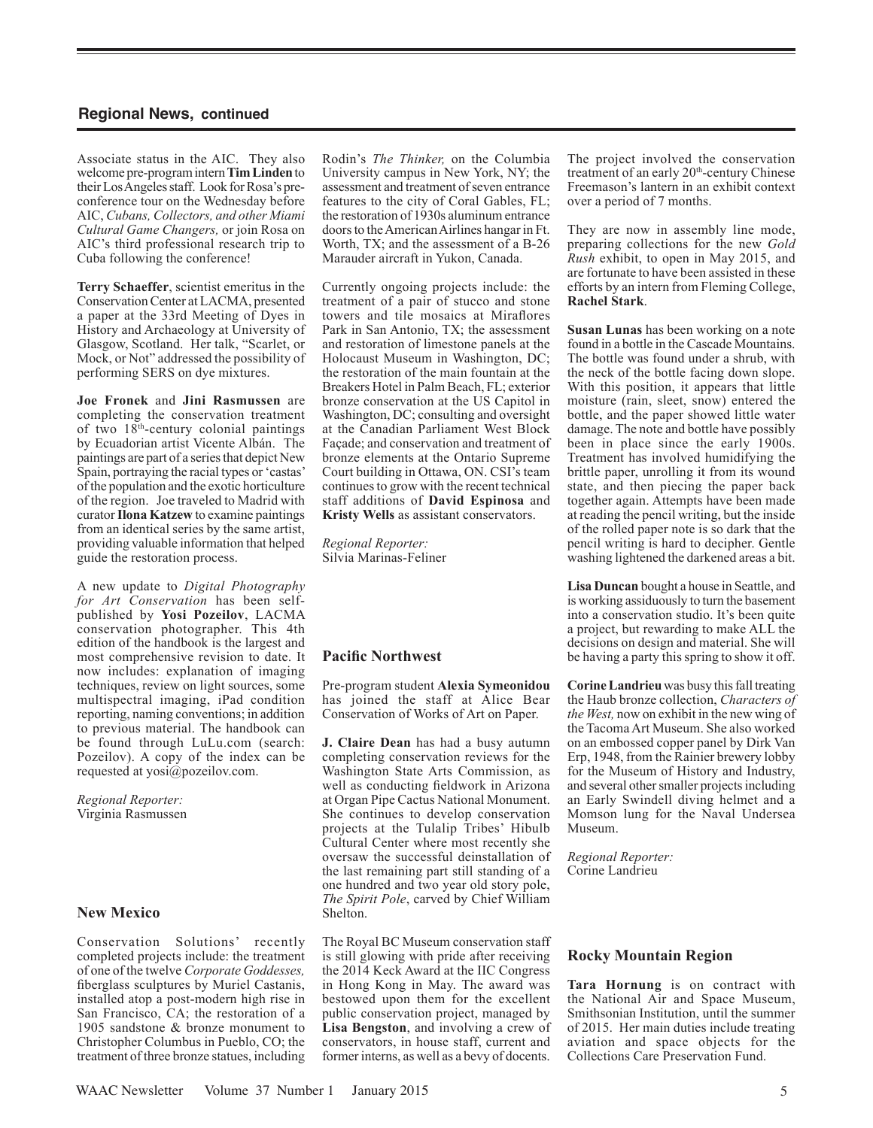Associate status in the AIC. They also welcome pre-program intern **Tim Linden** to their Los Angeles staff. Look for Rosa's preconference tour on the Wednesday before AIC, *Cubans, Collectors, and other Miami Cultural Game Changers,* or join Rosa on AIC's third professional research trip to Cuba following the conference!

**Terry Schaeffer**, scientist emeritus in the Conservation Center at LACMA, presented a paper at the 33rd Meeting of Dyes in History and Archaeology at University of Glasgow, Scotland. Her talk, "Scarlet, or Mock, or Not" addressed the possibility of performing SERS on dye mixtures.

**Joe Fronek** and **Jini Rasmussen** are completing the conservation treatment of two 18th-century colonial paintings by Ecuadorian artist Vicente Albán. The paintings are part of a series that depict New Spain, portraying the racial types or 'castas' of the population and the exotic horticulture of the region. Joe traveled to Madrid with curator **Ilona Katzew** to examine paintings from an identical series by the same artist, providing valuable information that helped guide the restoration process.

A new update to *Digital Photography for Art Conservation* has been selfpublished by **Yosi Pozeilov**, LACMA conservation photographer. This 4th edition of the handbook is the largest and most comprehensive revision to date. It now includes: explanation of imaging techniques, review on light sources, some multispectral imaging, iPad condition reporting, naming conventions; in addition to previous material. The handbook can be found through LuLu.com (search: Pozeilov). A copy of the index can be requested at yosi@pozeilov.com.

*Regional Reporter:* Virginia Rasmussen

## **New Mexico**

Conservation Solutions' recently completed projects include: the treatment of one of the twelve *Corporate Goddesses,* fiberglass sculptures by Muriel Castanis, installed atop a post-modern high rise in San Francisco, CA; the restoration of a 1905 sandstone & bronze monument to Christopher Columbus in Pueblo, CO; the treatment of three bronze statues, including

Rodin's *The Thinker,* on the Columbia University campus in New York, NY; the assessment and treatment of seven entrance features to the city of Coral Gables, FL; the restoration of 1930s aluminum entrance doors to the American Airlines hangar in Ft. Worth, TX; and the assessment of a B-26 Marauder aircraft in Yukon, Canada.

Currently ongoing projects include: the treatment of a pair of stucco and stone towers and tile mosaics at Miraflores Park in San Antonio, TX; the assessment and restoration of limestone panels at the Holocaust Museum in Washington, DC; the restoration of the main fountain at the Breakers Hotel in Palm Beach, FL; exterior bronze conservation at the US Capitol in Washington, DC; consulting and oversight at the Canadian Parliament West Block Façade; and conservation and treatment of bronze elements at the Ontario Supreme Court building in Ottawa, ON. CSI's team continues to grow with the recent technical staff additions of **David Espinosa** and **Kristy Wells** as assistant conservators.

*Regional Reporter:* Silvia Marinas-Feliner

## **Pacific Northwest**

Pre-program student **Alexia Symeonidou**  has joined the staff at Alice Bear Conservation of Works of Art on Paper.

**J. Claire Dean** has had a busy autumn completing conservation reviews for the Washington State Arts Commission, as well as conducting fieldwork in Arizona at Organ Pipe Cactus National Monument. She continues to develop conservation projects at the Tulalip Tribes' Hibulb Cultural Center where most recently she oversaw the successful deinstallation of the last remaining part still standing of a one hundred and two year old story pole, *The Spirit Pole*, carved by Chief William Shelton.

The Royal BC Museum conservation staff is still glowing with pride after receiving the 2014 Keck Award at the IIC Congress in Hong Kong in May. The award was bestowed upon them for the excellent public conservation project, managed by **Lisa Bengston**, and involving a crew of conservators, in house staff, current and former interns, as well as a bevy of docents. The project involved the conservation treatment of an early 20<sup>th</sup>-century Chinese Freemason's lantern in an exhibit context over a period of 7 months.

They are now in assembly line mode, preparing collections for the new *Gold Rush* exhibit, to open in May 2015, and are fortunate to have been assisted in these efforts by an intern from Fleming College, **Rachel Stark**.

**Susan Lunas** has been working on a note found in a bottle in the Cascade Mountains. The bottle was found under a shrub, with the neck of the bottle facing down slope. With this position, it appears that little moisture (rain, sleet, snow) entered the bottle, and the paper showed little water damage. The note and bottle have possibly been in place since the early 1900s. Treatment has involved humidifying the brittle paper, unrolling it from its wound state, and then piecing the paper back together again. Attempts have been made at reading the pencil writing, but the inside of the rolled paper note is so dark that the pencil writing is hard to decipher. Gentle washing lightened the darkened areas a bit.

**Lisa Duncan** bought a house in Seattle, and is working assiduously to turn the basement into a conservation studio. It's been quite a project, but rewarding to make ALL the decisions on design and material. She will be having a party this spring to show it off.

**Corine Landrieu** was busy this fall treating the Haub bronze collection, *Characters of the West,* now on exhibit in the new wing of the Tacoma Art Museum. She also worked on an embossed copper panel by Dirk Van Erp, 1948, from the Rainier brewery lobby for the Museum of History and Industry, and several other smaller projects including an Early Swindell diving helmet and a Momson lung for the Naval Undersea Museum.

*Regional Reporter:* Corine Landrieu

## **Rocky Mountain Region**

**Tara Hornung** is on contract with the National Air and Space Museum, Smithsonian Institution, until the summer of 2015. Her main duties include treating aviation and space objects for the Collections Care Preservation Fund.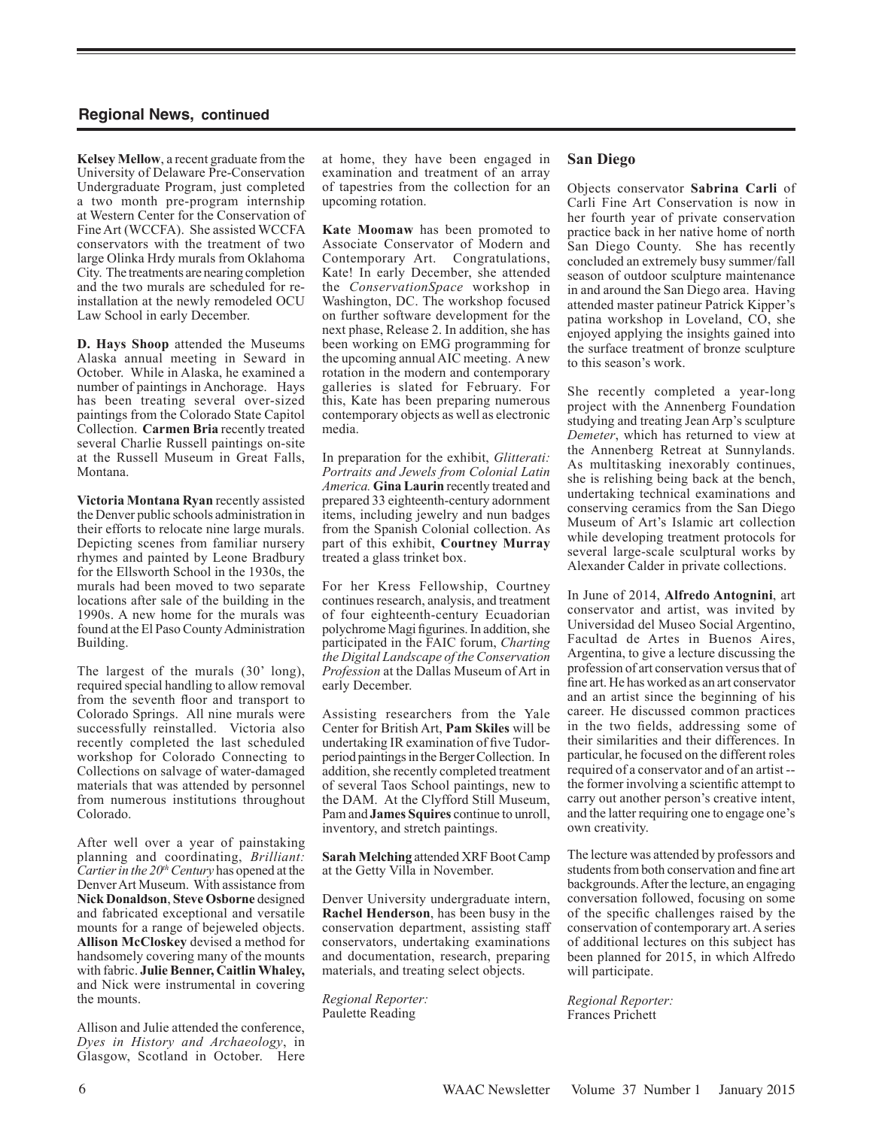**Kelsey Mellow**, a recent graduate from the University of Delaware Pre-Conservation Undergraduate Program, just completed a two month pre-program internship at Western Center for the Conservation of Fine Art (WCCFA). She assisted WCCFA conservators with the treatment of two large Olinka Hrdy murals from Oklahoma City. The treatments are nearing completion and the two murals are scheduled for reinstallation at the newly remodeled OCU Law School in early December.

**D. Hays Shoop** attended the Museums Alaska annual meeting in Seward in October. While in Alaska, he examined a number of paintings in Anchorage. Hays has been treating several over-sized paintings from the Colorado State Capitol Collection. **Carmen Bria** recently treated several Charlie Russell paintings on-site at the Russell Museum in Great Falls, Montana.

**Victoria Montana Ryan** recently assisted the Denver public schools administration in their efforts to relocate nine large murals. Depicting scenes from familiar nursery rhymes and painted by Leone Bradbury for the Ellsworth School in the 1930s, the murals had been moved to two separate locations after sale of the building in the 1990s. A new home for the murals was found at the El Paso County Administration Building.

The largest of the murals  $(30')$  long), required special handling to allow removal from the seventh floor and transport to Colorado Springs. All nine murals were successfully reinstalled. Victoria also recently completed the last scheduled workshop for Colorado Connecting to Collections on salvage of water-damaged materials that was attended by personnel from numerous institutions throughout Colorado.

After well over a year of painstaking planning and coordinating, *Brilliant: Cartier in the 20<sup>th</sup> Century* has opened at the Denver Art Museum. With assistance from **Nick Donaldson**, **Steve Osborne** designed and fabricated exceptional and versatile mounts for a range of bejeweled objects. **Allison McCloskey** devised a method for handsomely covering many of the mounts with fabric. **Julie Benner, Caitlin Whaley,**  and Nick were instrumental in covering the mounts.

Allison and Julie attended the conference, *Dyes in History and Archaeology*, in Glasgow, Scotland in October. Here at home, they have been engaged in examination and treatment of an array of tapestries from the collection for an upcoming rotation.

**Kate Moomaw** has been promoted to Associate Conservator of Modern and Contemporary Art. Congratulations, Kate! In early December, she attended the *ConservationSpace* workshop in Washington, DC. The workshop focused on further software development for the next phase, Release 2. In addition, she has been working on EMG programming for the upcoming annual AIC meeting. A new rotation in the modern and contemporary galleries is slated for February. For this, Kate has been preparing numerous contemporary objects as well as electronic media.

In preparation for the exhibit, *Glitterati: Portraits and Jewels from Colonial Latin America.* **Gina Laurin** recently treated and prepared 33 eighteenth-century adornment items, including jewelry and nun badges from the Spanish Colonial collection. As part of this exhibit, **Courtney Murray** treated a glass trinket box.

For her Kress Fellowship, Courtney continues research, analysis, and treatment of four eighteenth-century Ecuadorian polychrome Magi figurines. In addition, she participated in the FAIC forum, *Charting the Digital Landscape of the Conservation Profession* at the Dallas Museum of Art in early December.

Assisting researchers from the Yale Center for British Art, **Pam Skiles** will be undertaking IR examination of five Tudorperiod paintings in the Berger Collection. In addition, she recently completed treatment of several Taos School paintings, new to the DAM. At the Clyfford Still Museum, Pam and **James Squires** continue to unroll, inventory, and stretch paintings.

**Sarah Melching** attended XRF Boot Camp at the Getty Villa in November.

Denver University undergraduate intern, **Rachel Henderson**, has been busy in the conservation department, assisting staff conservators, undertaking examinations and documentation, research, preparing materials, and treating select objects.

*Regional Reporter:* Paulette Reading

## **San Diego**

Objects conservator **Sabrina Carli** of Carli Fine Art Conservation is now in her fourth year of private conservation practice back in her native home of north San Diego County. She has recently concluded an extremely busy summer/fall season of outdoor sculpture maintenance in and around the San Diego area. Having attended master patineur Patrick Kipper's patina workshop in Loveland, CO, she enjoyed applying the insights gained into the surface treatment of bronze sculpture to this season's work.

She recently completed a year-long project with the Annenberg Foundation studying and treating Jean Arp's sculpture *Demeter*, which has returned to view at the Annenberg Retreat at Sunnylands. As multitasking inexorably continues, she is relishing being back at the bench, undertaking technical examinations and conserving ceramics from the San Diego Museum of Art's Islamic art collection while developing treatment protocols for several large-scale sculptural works by Alexander Calder in private collections.

In June of 2014, **Alfredo Antognini**, art conservator and artist, was invited by Universidad del Museo Social Argentino, Facultad de Artes in Buenos Aires, Argentina, to give a lecture discussing the profession of art conservation versus that of fine art. He has worked as an art conservator and an artist since the beginning of his career. He discussed common practices in the two fields, addressing some of their similarities and their differences. In particular, he focused on the different roles required of a conservator and of an artist - the former involving a scientific attempt to carry out another person's creative intent, and the latter requiring one to engage one's own creativity.

The lecture was attended by professors and students from both conservation and fine art backgrounds. After the lecture, an engaging conversation followed, focusing on some of the specific challenges raised by the conservation of contemporary art. A series of additional lectures on this subject has been planned for 2015, in which Alfredo will participate.

*Regional Reporter:* Frances Prichett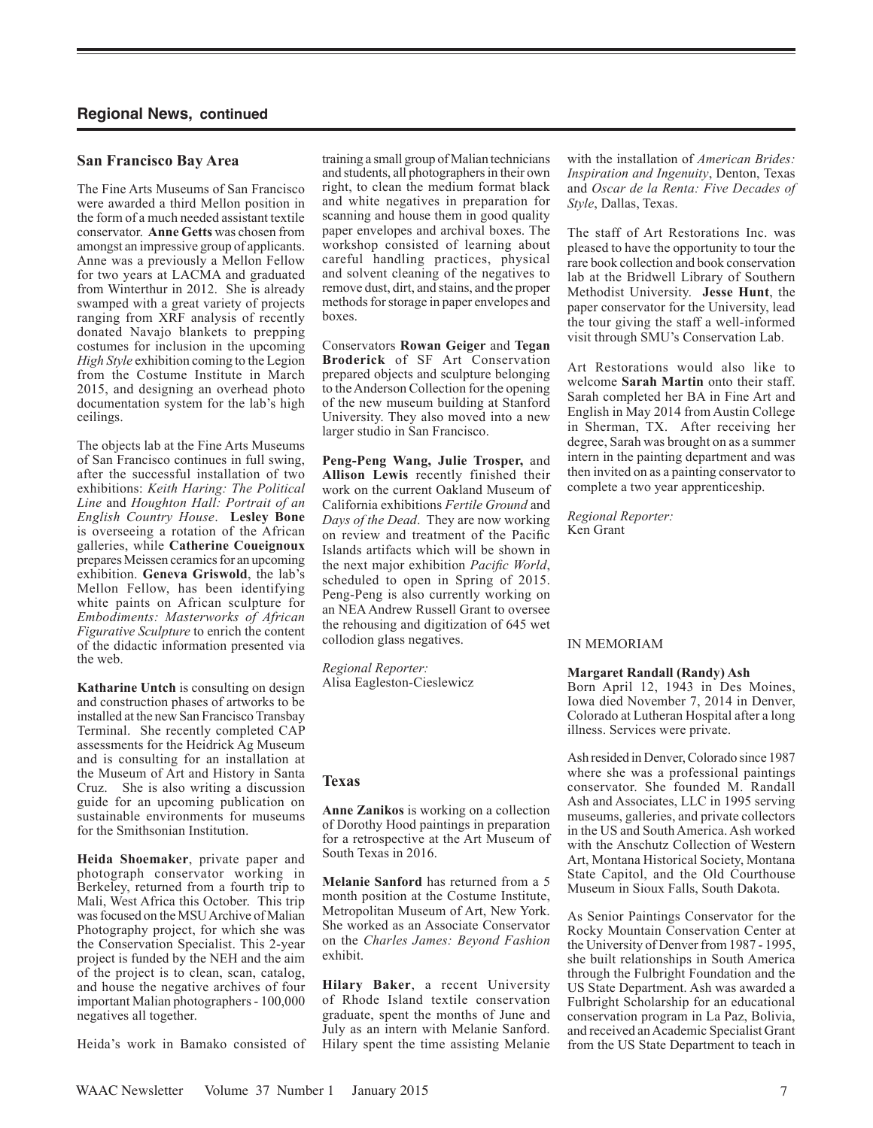## **San Francisco Bay Area**

The Fine Arts Museums of San Francisco were awarded a third Mellon position in the form of a much needed assistant textile conservator. **Anne Getts** was chosen from amongst an impressive group of applicants. Anne was a previously a Mellon Fellow for two years at LACMA and graduated from Winterthur in 2012. She is already swamped with a great variety of projects ranging from XRF analysis of recently donated Navajo blankets to prepping costumes for inclusion in the upcoming *High Style* exhibition coming to the Legion from the Costume Institute in March 2015, and designing an overhead photo documentation system for the lab's high ceilings.

The objects lab at the Fine Arts Museums of San Francisco continues in full swing, after the successful installation of two exhibitions: *Keith Haring: The Political Line* and *Houghton Hall: Portrait of an English Country House*. **Lesley Bone** is overseeing a rotation of the African galleries, while **Catherine Coueignoux** prepares Meissen ceramics for an upcoming exhibition. **Geneva Griswold**, the lab's Mellon Fellow, has been identifying white paints on African sculpture for *Embodiments: Masterworks of African Figurative Sculpture* to enrich the content of the didactic information presented via the web.

**Katharine Untch** is consulting on design and construction phases of artworks to be installed at the new San Francisco Transbay Terminal. She recently completed CAP assessments for the Heidrick Ag Museum and is consulting for an installation at the Museum of Art and History in Santa Cruz. She is also writing a discussion guide for an upcoming publication on sustainable environments for museums for the Smithsonian Institution.

**Heida Shoemaker**, private paper and photograph conservator working in Berkeley, returned from a fourth trip to Mali, West Africa this October. This trip was focused on the MSU Archive of Malian Photography project, for which she was the Conservation Specialist. This 2-year project is funded by the NEH and the aim of the project is to clean, scan, catalog, and house the negative archives of four important Malian photographers - 100,000 negatives all together.

Heida's work in Bamako consisted of

training a small group of Malian technicians and students, all photographers in their own right, to clean the medium format black and white negatives in preparation for scanning and house them in good quality paper envelopes and archival boxes. The workshop consisted of learning about careful handling practices, physical and solvent cleaning of the negatives to remove dust, dirt, and stains, and the proper methods for storage in paper envelopes and boxes.

Conservators **Rowan Geiger** and **Tegan Broderick** of SF Art Conservation prepared objects and sculpture belonging to the Anderson Collection for the opening of the new museum building at Stanford University. They also moved into a new larger studio in San Francisco.

**Peng-Peng Wang, Julie Trosper,** and **Allison Lewis** recently finished their work on the current Oakland Museum of California exhibitions *Fertile Ground* and *Days of the Dead*. They are now working on review and treatment of the Pacific Islands artifacts which will be shown in the next major exhibition *Pacific World*, scheduled to open in Spring of 2015. Peng-Peng is also currently working on an NEA Andrew Russell Grant to oversee the rehousing and digitization of 645 wet collodion glass negatives.

*Regional Reporter:* Alisa Eagleston-Cieslewicz

## **Texas**

**Anne Zanikos** is working on a collection of Dorothy Hood paintings in preparation for a retrospective at the Art Museum of South Texas in 2016.

**Melanie Sanford** has returned from a 5 month position at the Costume Institute, Metropolitan Museum of Art, New York. She worked as an Associate Conservator on the *Charles James: Beyond Fashion* exhibit.

**Hilary Baker**, a recent University of Rhode Island textile conservation graduate, spent the months of June and July as an intern with Melanie Sanford. Hilary spent the time assisting Melanie with the installation of *American Brides: Inspiration and Ingenuity*, Denton, Texas and *Oscar de la Renta: Five Decades of Style*, Dallas, Texas.

The staff of Art Restorations Inc. was pleased to have the opportunity to tour the rare book collection and book conservation lab at the Bridwell Library of Southern Methodist University. **Jesse Hunt**, the paper conservator for the University, lead the tour giving the staff a well-informed visit through SMU's Conservation Lab.

Art Restorations would also like to welcome **Sarah Martin** onto their staff. Sarah completed her BA in Fine Art and English in May 2014 from Austin College in Sherman, TX. After receiving her degree, Sarah was brought on as a summer intern in the painting department and was then invited on as a painting conservator to complete a two year apprenticeship.

*Regional Reporter:* Ken Grant

## IN MEMORIAM

## **Margaret Randall (Randy) Ash**

Born April 12, 1943 in Des Moines, Iowa died November 7, 2014 in Denver, Colorado at Lutheran Hospital after a long illness. Services were private.

Ash resided in Denver, Colorado since 1987 where she was a professional paintings conservator. She founded M. Randall Ash and Associates, LLC in 1995 serving museums, galleries, and private collectors in the US and South America. Ash worked with the Anschutz Collection of Western Art, Montana Historical Society, Montana State Capitol, and the Old Courthouse Museum in Sioux Falls, South Dakota.

As Senior Paintings Conservator for the Rocky Mountain Conservation Center at the University of Denver from 1987 - 1995, she built relationships in South America through the Fulbright Foundation and the US State Department. Ash was awarded a Fulbright Scholarship for an educational conservation program in La Paz, Bolivia, and received an Academic Specialist Grant from the US State Department to teach in